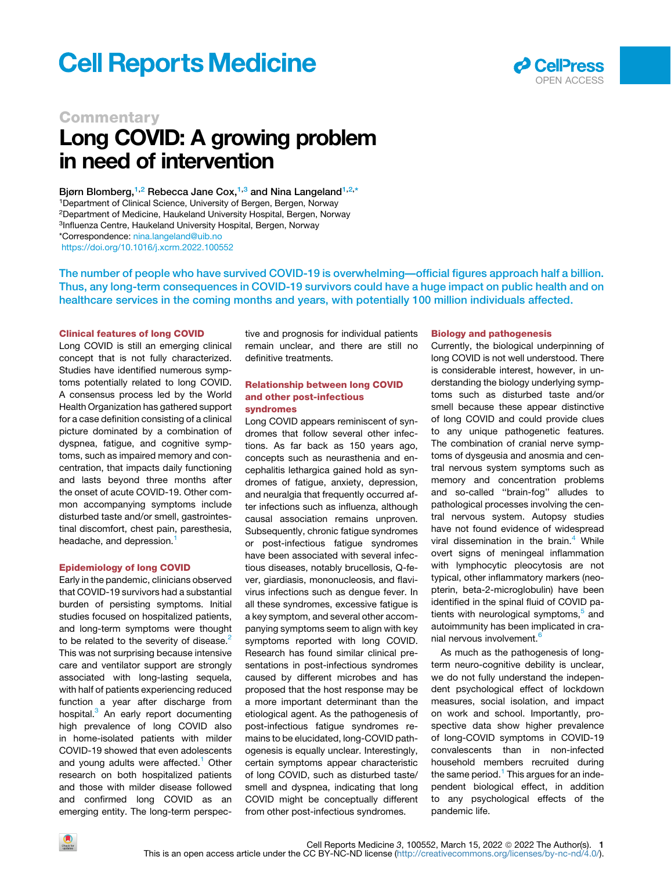# **Cell Reports Medicine**



### **Commentary**

## Long COVID: A growing problem in need of intervention

<span id="page-0-2"></span><span id="page-0-1"></span><span id="page-0-0"></span>Bjørn Blomberg,<sup>[1](#page-0-0)[,2](#page-0-1)</sup> Rebecca Jane Cox,<sup>1[,3](#page-0-2)</sup> and Nina Langeland<sup>1,2,[\\*](#page-0-3)</sup> 1Department of Clinical Science, University of Bergen, Bergen, Norway 2Department of Medicine, Haukeland University Hospital, Bergen, Norway 3Influenza Centre, Haukeland University Hospital, Bergen, Norway \*Correspondence: [nina.langeland@uib.no](mailto:nina.langeland@uib.no) <https://doi.org/10.1016/j.xcrm.2022.100552>

<span id="page-0-3"></span>The number of people who have survived COVID-19 is overwhelming—official figures approach half a billion. Thus, any long-term consequences in COVID-19 survivors could have a huge impact on public health and on healthcare services in the coming months and years, with potentially 100 million individuals affected.

#### Clinical features of long COVID

Long COVID is still an emerging clinical concept that is not fully characterized. Studies have identified numerous symptoms potentially related to long COVID. A consensus process led by the World Health Organization has gathered support for a case definition consisting of a clinical picture dominated by a combination of dyspnea, fatigue, and cognitive symptoms, such as impaired memory and concentration, that impacts daily functioning and lasts beyond three months after the onset of acute COVID-19. Other common accompanying symptoms include disturbed taste and/or smell, gastrointestinal discomfort, chest pain, paresthesia, headache, and depression.<sup>[1](#page-2-0)</sup>

#### Epidemiology of long COVID

Early in the pandemic, clinicians observed that COVID-19 survivors had a substantial burden of persisting symptoms. Initial studies focused on hospitalized patients, and long-term symptoms were thought to be related to the severity of disease.<sup>[2](#page-2-1)</sup> This was not surprising because intensive care and ventilator support are strongly associated with long-lasting sequela, with half of patients experiencing reduced function a year after discharge from hospital.<sup>[3](#page-2-2)</sup> An early report documenting high prevalence of long COVID also in home-isolated patients with milder COVID-19 showed that even adolescents and young adults were affected.<sup>[1](#page-2-0)</sup> Other research on both hospitalized patients and those with milder disease followed and confirmed long COVID as an emerging entity. The long-term perspective and prognosis for individual patients remain unclear, and there are still no definitive treatments.

#### Relationship between long COVID and other post-infectious syndromes

Long COVID appears reminiscent of syndromes that follow several other infections. As far back as 150 years ago, concepts such as neurasthenia and encephalitis lethargica gained hold as syndromes of fatigue, anxiety, depression, and neuralgia that frequently occurred after infections such as influenza, although causal association remains unproven. Subsequently, chronic fatigue syndromes or post-infectious fatigue syndromes have been associated with several infectious diseases, notably brucellosis, Q-fever, giardiasis, mononucleosis, and flavivirus infections such as dengue fever. In all these syndromes, excessive fatigue is a key symptom, and several other accompanying symptoms seem to align with key symptoms reported with long COVID. Research has found similar clinical presentations in post-infectious syndromes caused by different microbes and has proposed that the host response may be a more important determinant than the etiological agent. As the pathogenesis of post-infectious fatigue syndromes remains to be elucidated, long-COVID pathogenesis is equally unclear. Interestingly, certain symptoms appear characteristic of long COVID, such as disturbed taste/ smell and dyspnea, indicating that long COVID might be conceptually different from other post-infectious syndromes.

#### Biology and pathogenesis

Currently, the biological underpinning of long COVID is not well understood. There is considerable interest, however, in understanding the biology underlying symptoms such as disturbed taste and/or smell because these appear distinctive of long COVID and could provide clues to any unique pathogenetic features. The combination of cranial nerve symptoms of dysgeusia and anosmia and central nervous system symptoms such as memory and concentration problems and so-called ''brain-fog'' alludes to pathological processes involving the central nervous system. Autopsy studies have not found evidence of widespread viral dissemination in the brain. $4$  While overt signs of meningeal inflammation with lymphocytic pleocytosis are not typical, other inflammatory markers (neopterin, beta-2-microglobulin) have been identified in the spinal fluid of COVID pa-tients with neurological symptoms,<sup>[5](#page-2-4)</sup> and autoimmunity has been implicated in cra-nial nervous involvement.<sup>[6](#page-2-5)</sup>

As much as the pathogenesis of longterm neuro-cognitive debility is unclear, we do not fully understand the independent psychological effect of lockdown measures, social isolation, and impact on work and school. Importantly, prospective data show higher prevalence of long-COVID symptoms in COVID-19 convalescents than in non-infected household members recruited during the same period.<sup>[1](#page-2-0)</sup> This argues for an independent biological effect, in addition to any psychological effects of the pandemic life.

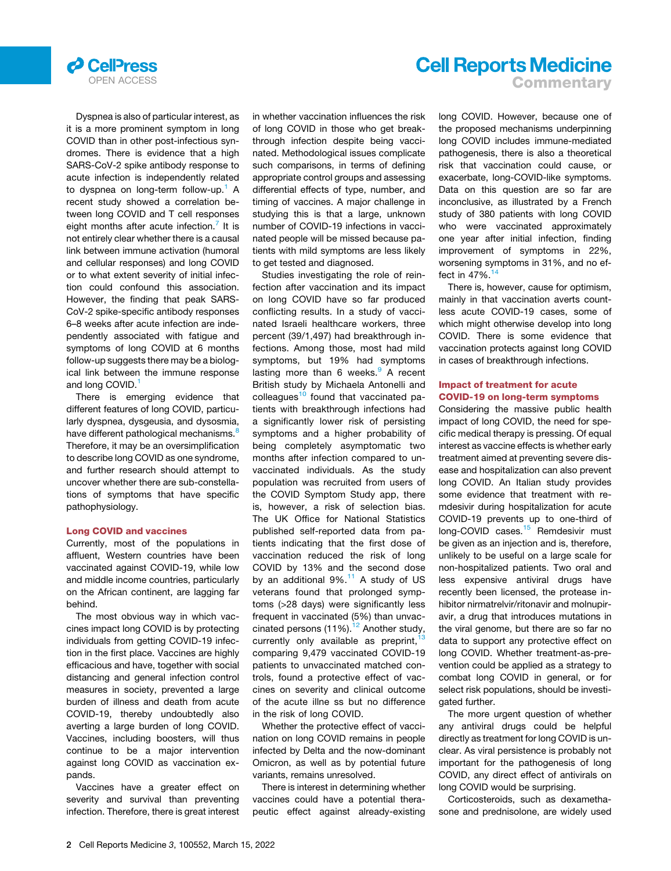

Dyspnea is also of particular interest, as it is a more prominent symptom in long COVID than in other post-infectious syndromes. There is evidence that a high SARS-CoV-2 spike antibody response to acute infection is independently related to dyspnea on long-term follow-up.<sup>[1](#page-2-0)</sup> A recent study showed a correlation between long COVID and T cell responses eight months after acute infection.<sup>[7](#page-2-6)</sup> It is not entirely clear whether there is a causal link between immune activation (humoral and cellular responses) and long COVID or to what extent severity of initial infection could confound this association. However, the finding that peak SARS-CoV-2 spike-specific antibody responses 6–8 weeks after acute infection are independently associated with fatigue and symptoms of long COVID at 6 months follow-up suggests there may be a biological link between the immune response and long COVID.<sup>[1](#page-2-0)</sup>

There is emerging evidence that different features of long COVID, particularly dyspnea, dysgeusia, and dysosmia, have different pathological mechanisms.<sup>[8](#page-2-7)</sup> Therefore, it may be an oversimplification to describe long COVID as one syndrome, and further research should attempt to uncover whether there are sub-constellations of symptoms that have specific pathophysiology.

#### Long COVID and vaccines

Currently, most of the populations in affluent, Western countries have been vaccinated against COVID-19, while low and middle income countries, particularly on the African continent, are lagging far behind.

The most obvious way in which vaccines impact long COVID is by protecting individuals from getting COVID-19 infection in the first place. Vaccines are highly efficacious and have, together with social distancing and general infection control measures in society, prevented a large burden of illness and death from acute COVID-19, thereby undoubtedly also averting a large burden of long COVID. Vaccines, including boosters, will thus continue to be a major intervention against long COVID as vaccination expands.

Vaccines have a greater effect on severity and survival than preventing infection. Therefore, there is great interest in whether vaccination influences the risk of long COVID in those who get breakthrough infection despite being vaccinated. Methodological issues complicate such comparisons, in terms of defining appropriate control groups and assessing differential effects of type, number, and timing of vaccines. A major challenge in studying this is that a large, unknown number of COVID-19 infections in vaccinated people will be missed because patients with mild symptoms are less likely to get tested and diagnosed.

Studies investigating the role of reinfection after vaccination and its impact on long COVID have so far produced conflicting results. In a study of vaccinated Israeli healthcare workers, three percent (39/1,497) had breakthrough infections. Among those, most had mild symptoms, but 19% had symptoms lasting more than 6 weeks. $9$  A recent British study by Michaela Antonelli and colleagues<sup>[10](#page-2-9)</sup> found that vaccinated patients with breakthrough infections had a significantly lower risk of persisting symptoms and a higher probability of being completely asymptomatic two months after infection compared to unvaccinated individuals. As the study population was recruited from users of the COVID Symptom Study app, there is, however, a risk of selection bias. The UK Office for National Statistics published self-reported data from patients indicating that the first dose of vaccination reduced the risk of long COVID by 13% and the second dose by an additional 9%.<sup>[11](#page-2-10)</sup> A study of US veterans found that prolonged symptoms (>28 days) were significantly less frequent in vaccinated (5%) than unvaccinated persons  $(11\%)$ .<sup>[12](#page-2-11)</sup> Another study, currently only available as preprint,  $13$ comparing 9,479 vaccinated COVID-19 patients to unvaccinated matched controls, found a protective effect of vaccines on severity and clinical outcome of the acute illne ss but no difference in the risk of long COVID.

Whether the protective effect of vaccination on long COVID remains in people infected by Delta and the now-dominant Omicron, as well as by potential future variants, remains unresolved.

There is interest in determining whether vaccines could have a potential therapeutic effect against already-existing long COVID. However, because one of the proposed mechanisms underpinning long COVID includes immune-mediated pathogenesis, there is also a theoretical risk that vaccination could cause, or exacerbate, long-COVID-like symptoms. Data on this question are so far are inconclusive, as illustrated by a French study of 380 patients with long COVID who were vaccinated approximately one year after initial infection, finding improvement of symptoms in 22%, worsening symptoms in 31%, and no effect in  $47\%$ .<sup>14</sup>

There is, however, cause for optimism, mainly in that vaccination averts countless acute COVID-19 cases, some of which might otherwise develop into long COVID. There is some evidence that vaccination protects against long COVID in cases of breakthrough infections.

#### Impact of treatment for acute COVID-19 on long-term symptoms

Considering the massive public health impact of long COVID, the need for specific medical therapy is pressing. Of equal interest as vaccine effects is whether early treatment aimed at preventing severe disease and hospitalization can also prevent long COVID. An Italian study provides some evidence that treatment with remdesivir during hospitalization for acute COVID-19 prevents up to one-third of long-COVID cases.<sup>[15](#page-2-14)</sup> Remdesivir must be given as an injection and is, therefore, unlikely to be useful on a large scale for non-hospitalized patients. Two oral and less expensive antiviral drugs have recently been licensed, the protease inhibitor nirmatrelvir/ritonavir and molnupiravir, a drug that introduces mutations in the viral genome, but there are so far no data to support any protective effect on long COVID. Whether treatment-as-prevention could be applied as a strategy to combat long COVID in general, or for select risk populations, should be investigated further.

The more urgent question of whether any antiviral drugs could be helpful directly as treatment for long COVID is unclear. As viral persistence is probably not important for the pathogenesis of long COVID, any direct effect of antivirals on long COVID would be surprising.

Corticosteroids, such as dexamethasone and prednisolone, are widely used

## **Cell Reports Medicine Commentary**